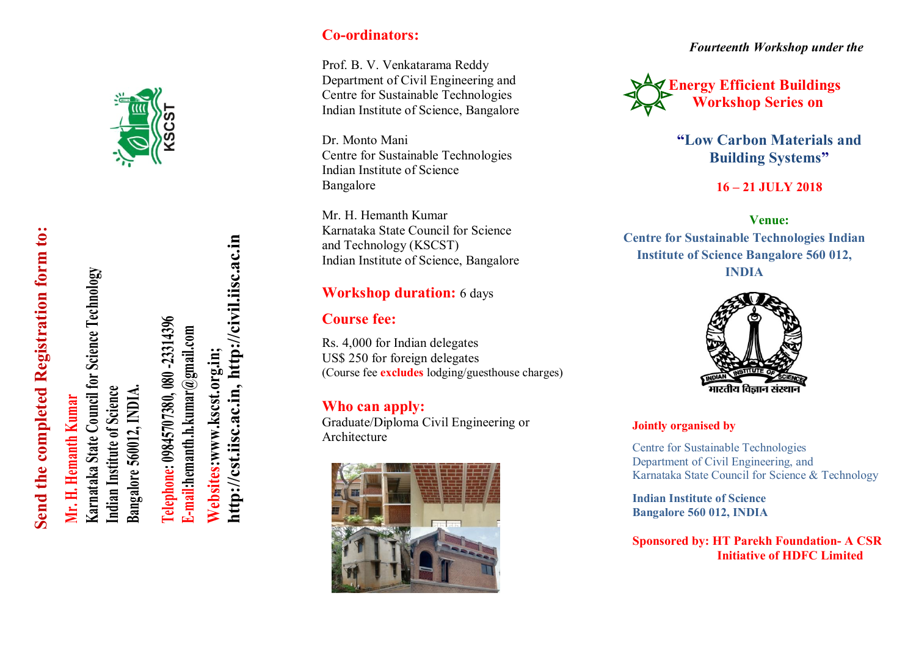

# Send the completed Registration form to: **Send the completed Registration form to:**

# **Mr. H. Hemanth Kumar Mr. H. Hemanth Kumar**

Karnataka State Council for Science Technology **Karnataka State Council for Science Technology** Indian Institute of Science Bangalore 560012, INDIA. **Bangalore 560012, INDIA. Indian Institute of Science**

Felephone: 09845707380, 080 -23314396 **Telephone: 09845707380, 080 -23314396** E-mail:hemanth.h.kumar@gmail.com **E-mail:hemanth.h.kumar@gmail.com**

http://cst.iisc.ac.in, http://civil.iisc.ac.in **[http://cst.iisc.ac.in,](http://cst.iisc.ac.in/) [http://civil.iisc.ac.in](http://civil.iisc.ac.in/) Websites:www.kscst.org.in;**  Websites:www.kscst.org.in;

## **Co-ordinators:**

Prof. B. V. Venkatarama Reddy Department of Civil Engineering and Centre for Sustainable Technologies Indian Institute of Science, Bangalore

Dr. Monto Mani Centre for Sustainable Technologies Indian Institute of Science Bangalore

Mr. H. Hemanth Kumar Karnataka State Council for Science and Technology (KSCST) Indian Institute of Science, Bangalore

#### **Workshop duration:** 6 days

## **Course fee:**

Rs. 4,000 for Indian delegates US\$ 250 for foreign delegates (Course fee **excludes** lodging/guesthouse charges)

# **Who can apply:**

Graduate/Diploma Civil Engineering or Architecture



*Fourteenth Workshop under the*



**"Low Carbon Materials and Building Systems"**

**16 – 21 JULY 2018**

**Venue: Centre for Sustainable Technologies Indian Institute of Science Bangalore 560 012, INDIA**



#### **Jointly organised by**

Centre for Sustainable Technologies Department of Civil Engineering, and Karnataka State Council for Science & Technology

**Indian Institute of Science Bangalore 560 012, INDIA**

**Sponsored by: HT Parekh Foundation- A CSR Initiative of HDFC Limited**